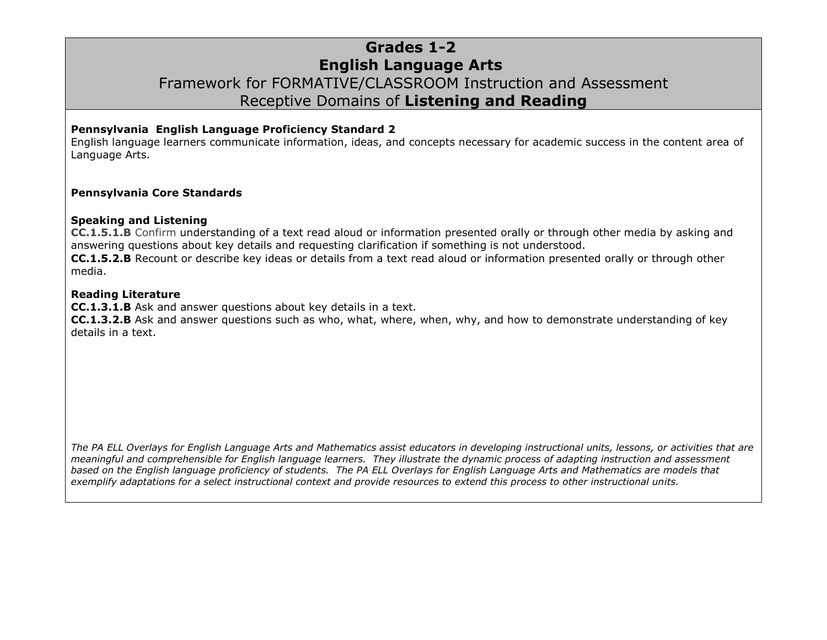# **Grades 1-2 English Language Arts** Framework for FORMATIVE/CLASSROOM Instruction and Assessment Receptive Domains of **Listening and Reading**

### **Pennsylvania English Language Proficiency Standard 2**

English language learners communicate information, ideas, and concepts necessary for academic success in the content area of Language Arts.

#### **Pennsylvania Core Standards**

#### **Speaking and Listening**

**CC.1.5.1.B** Confirm understanding of a text read aloud or information presented orally or through other media by asking and answering questions about key details and requesting clarification if something is not understood.

**CC.1.5.2.B** Recount or describe key ideas or details from a text read aloud or information presented orally or through other media.

#### **Reading Literature**

**CC.1.3.1.B** Ask and answer questions about key details in a text.

**CC.1.3.2.B** Ask and answer questions such as who, what, where, when, why, and how to demonstrate understanding of key details in a text.

*The PA ELL Overlays for English Language Arts and Mathematics assist educators in developing instructional units, lessons, or activities that are meaningful and comprehensible for English language learners. They illustrate the dynamic process of adapting instruction and assessment based on the English language proficiency of students. The PA ELL Overlays for English Language Arts and Mathematics are models that exemplify adaptations for a select instructional context and provide resources to extend this process to other instructional units.*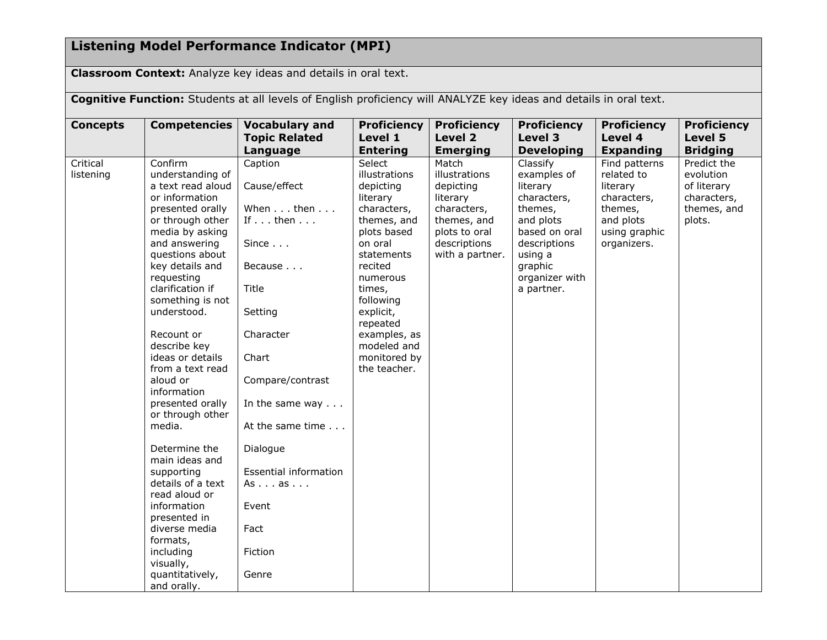# **Listening Model Performance Indicator (MPI)**

**Classroom Context:** Analyze key ideas and details in oral text.

**Cognitive Function:** Students at all levels of English proficiency will ANALYZE key ideas and details in oral text.

| <b>Concepts</b> | <b>Competencies</b>                  | <b>Vocabulary and</b>            | <b>Proficiency</b>           | <b>Proficiency</b>              | <b>Proficiency</b>           | <b>Proficiency</b>          | <b>Proficiency</b>         |
|-----------------|--------------------------------------|----------------------------------|------------------------------|---------------------------------|------------------------------|-----------------------------|----------------------------|
|                 |                                      | <b>Topic Related</b><br>Language | Level 1<br><b>Entering</b>   | Level 2<br><b>Emerging</b>      | Level 3<br><b>Developing</b> | Level 4<br><b>Expanding</b> | Level 5<br><b>Bridging</b> |
| Critical        | Confirm                              | Caption                          | Select                       | Match                           | Classify                     | Find patterns               | Predict the                |
| listening       | understanding of                     |                                  | illustrations                | illustrations                   | examples of                  | related to                  | evolution                  |
|                 | a text read aloud                    | Cause/effect                     | depicting                    | depicting                       | literary                     | literary                    | of literary                |
|                 | or information                       |                                  | literary                     | literary                        | characters,                  | characters,                 | characters,                |
|                 | presented orally                     | When then                        | characters,                  | characters,                     | themes,                      | themes,                     | themes, and                |
|                 | or through other<br>media by asking  | If $\ldots$ then $\ldots$        | themes, and<br>plots based   | themes, and<br>plots to oral    | and plots<br>based on oral   | and plots<br>using graphic  | plots.                     |
|                 | and answering<br>questions about     | Since $\ldots$                   | on oral<br>statements        | descriptions<br>with a partner. | descriptions<br>using a      | organizers.                 |                            |
|                 | key details and<br>requesting        | Because                          | recited                      |                                 | graphic<br>organizer with    |                             |                            |
|                 | clarification if                     | Title                            | numerous<br>times,           |                                 | a partner.                   |                             |                            |
|                 | something is not                     |                                  | following                    |                                 |                              |                             |                            |
|                 | understood.                          | Setting                          | explicit,<br>repeated        |                                 |                              |                             |                            |
|                 | Recount or<br>describe key           | Character                        | examples, as<br>modeled and  |                                 |                              |                             |                            |
|                 | ideas or details<br>from a text read | Chart                            | monitored by<br>the teacher. |                                 |                              |                             |                            |
|                 | aloud or                             | Compare/contrast                 |                              |                                 |                              |                             |                            |
|                 | information                          |                                  |                              |                                 |                              |                             |                            |
|                 | presented orally<br>or through other | In the same way $\ldots$         |                              |                                 |                              |                             |                            |
|                 | media.                               | At the same time                 |                              |                                 |                              |                             |                            |
|                 | Determine the<br>main ideas and      | Dialogue                         |                              |                                 |                              |                             |                            |
|                 | supporting                           | Essential information            |                              |                                 |                              |                             |                            |
|                 | details of a text                    | Asas                             |                              |                                 |                              |                             |                            |
|                 | read aloud or                        |                                  |                              |                                 |                              |                             |                            |
|                 | information                          | Event                            |                              |                                 |                              |                             |                            |
|                 | presented in                         |                                  |                              |                                 |                              |                             |                            |
|                 | diverse media                        | Fact                             |                              |                                 |                              |                             |                            |
|                 | formats,                             |                                  |                              |                                 |                              |                             |                            |
|                 | including                            | Fiction                          |                              |                                 |                              |                             |                            |
|                 | visually,                            |                                  |                              |                                 |                              |                             |                            |
|                 | quantitatively,                      | Genre                            |                              |                                 |                              |                             |                            |
|                 | and orally.                          |                                  |                              |                                 |                              |                             |                            |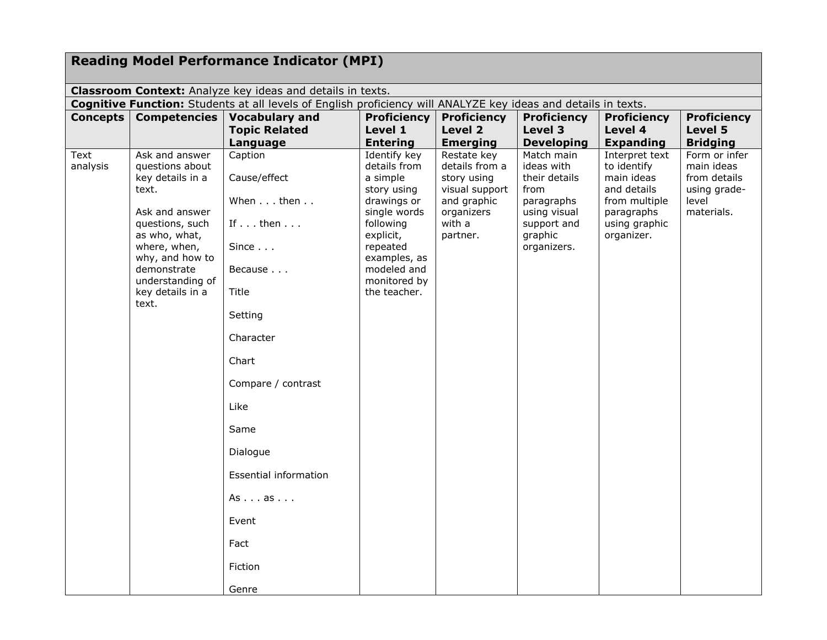| <b>Reading Model Performance Indicator (MPI)</b>                                                               |                                               |                              |                                 |                                |                                 |                                    |                                  |  |  |
|----------------------------------------------------------------------------------------------------------------|-----------------------------------------------|------------------------------|---------------------------------|--------------------------------|---------------------------------|------------------------------------|----------------------------------|--|--|
|                                                                                                                |                                               |                              |                                 |                                |                                 |                                    |                                  |  |  |
| Classroom Context: Analyze key ideas and details in texts.                                                     |                                               |                              |                                 |                                |                                 |                                    |                                  |  |  |
| Cognitive Function: Students at all levels of English proficiency will ANALYZE key ideas and details in texts. |                                               |                              |                                 |                                |                                 |                                    |                                  |  |  |
| Concepts                                                                                                       | <b>Competencies</b>                           | <b>Vocabulary and</b>        | <b>Proficiency</b>              | <b>Proficiency</b>             | <b>Proficiency</b>              | <b>Proficiency</b>                 | <b>Proficiency</b>               |  |  |
|                                                                                                                |                                               | <b>Topic Related</b>         | Level 1                         | Level 2                        | Level 3                         | Level 4                            | Level 5                          |  |  |
| Text                                                                                                           | Ask and answer                                | Language<br>Caption          | <b>Entering</b><br>Identify key | <b>Emerging</b><br>Restate key | <b>Developing</b><br>Match main | <b>Expanding</b><br>Interpret text | <b>Bridging</b><br>Form or infer |  |  |
| analysis                                                                                                       | questions about                               |                              | details from                    | details from a                 | ideas with                      | to identify                        | main ideas                       |  |  |
|                                                                                                                | key details in a                              | Cause/effect                 | a simple                        | story using                    | their details                   | main ideas                         | from details                     |  |  |
|                                                                                                                | text.                                         |                              | story using                     | visual support                 | from                            | and details                        | using grade-                     |  |  |
|                                                                                                                |                                               | When then                    | drawings or                     | and graphic                    | paragraphs                      | from multiple                      | level                            |  |  |
|                                                                                                                | Ask and answer<br>questions, such             | If $\ldots$ then $\ldots$    | single words<br>following       | organizers<br>with a           | using visual<br>support and     | paragraphs<br>using graphic        | materials.                       |  |  |
|                                                                                                                | as who, what,                                 |                              | explicit,                       | partner.                       | graphic                         | organizer.                         |                                  |  |  |
|                                                                                                                | where, when,<br>why, and how to               | Since $\ldots$               | repeated<br>examples, as        |                                | organizers.                     |                                    |                                  |  |  |
|                                                                                                                | demonstrate                                   | Because                      | modeled and                     |                                |                                 |                                    |                                  |  |  |
|                                                                                                                | understanding of<br>key details in a<br>text. | Title                        | monitored by<br>the teacher.    |                                |                                 |                                    |                                  |  |  |
|                                                                                                                |                                               | Setting                      |                                 |                                |                                 |                                    |                                  |  |  |
|                                                                                                                |                                               | Character                    |                                 |                                |                                 |                                    |                                  |  |  |
|                                                                                                                |                                               | Chart                        |                                 |                                |                                 |                                    |                                  |  |  |
|                                                                                                                |                                               | Compare / contrast           |                                 |                                |                                 |                                    |                                  |  |  |
|                                                                                                                |                                               | Like                         |                                 |                                |                                 |                                    |                                  |  |  |
|                                                                                                                |                                               | Same                         |                                 |                                |                                 |                                    |                                  |  |  |
|                                                                                                                |                                               | Dialogue                     |                                 |                                |                                 |                                    |                                  |  |  |
|                                                                                                                |                                               | <b>Essential information</b> |                                 |                                |                                 |                                    |                                  |  |  |
|                                                                                                                |                                               | Asas                         |                                 |                                |                                 |                                    |                                  |  |  |
|                                                                                                                |                                               | Event                        |                                 |                                |                                 |                                    |                                  |  |  |
|                                                                                                                |                                               | Fact                         |                                 |                                |                                 |                                    |                                  |  |  |
|                                                                                                                |                                               | Fiction                      |                                 |                                |                                 |                                    |                                  |  |  |
|                                                                                                                |                                               | Genre                        |                                 |                                |                                 |                                    |                                  |  |  |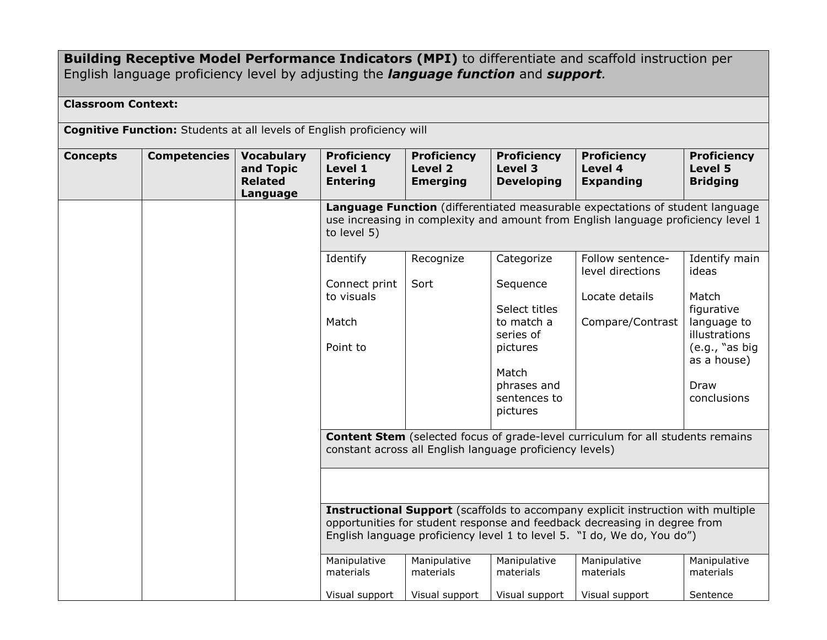## **Building Receptive Model Performance Indicators (MPI)** to differentiate and scaffold instruction per English language proficiency level by adjusting the *language function* and *support.*

## **Classroom Context:**

**Cognitive Function:** Students at all levels of English proficiency will

| <b>Concepts</b> | <b>Competencies</b> | <b>Vocabulary</b><br>and Topic<br><b>Related</b><br>Language | <b>Proficiency</b><br>Level 1<br><b>Entering</b>                                                                                                                                                                                                | <b>Proficiency</b><br>Level 2<br><b>Emerging</b> | <b>Proficiency</b><br>Level 3<br><b>Developing</b>                                                                   | <b>Proficiency</b><br>Level 4<br><b>Expanding</b>                                                                            | <b>Proficiency</b><br>Level 5<br><b>Bridging</b>                                                            |  |  |
|-----------------|---------------------|--------------------------------------------------------------|-------------------------------------------------------------------------------------------------------------------------------------------------------------------------------------------------------------------------------------------------|--------------------------------------------------|----------------------------------------------------------------------------------------------------------------------|------------------------------------------------------------------------------------------------------------------------------|-------------------------------------------------------------------------------------------------------------|--|--|
|                 |                     |                                                              | Language Function (differentiated measurable expectations of student language<br>use increasing in complexity and amount from English language proficiency level 1<br>to level 5)                                                               |                                                  |                                                                                                                      |                                                                                                                              |                                                                                                             |  |  |
|                 |                     |                                                              | Identify                                                                                                                                                                                                                                        | Recognize                                        | Categorize                                                                                                           | Follow sentence-<br>level directions                                                                                         | Identify main<br>ideas                                                                                      |  |  |
|                 |                     |                                                              | Connect print<br>to visuals<br>Match<br>Point to                                                                                                                                                                                                | Sort                                             | Sequence<br>Select titles<br>to match a<br>series of<br>pictures<br>Match<br>phrases and<br>sentences to<br>pictures | Locate details<br>Compare/Contrast<br><b>Content Stem</b> (selected focus of grade-level curriculum for all students remains | Match<br>figurative<br>language to<br>illustrations<br>(e.g., "as big<br>as a house)<br>Draw<br>conclusions |  |  |
|                 |                     |                                                              | constant across all English language proficiency levels)                                                                                                                                                                                        |                                                  |                                                                                                                      |                                                                                                                              |                                                                                                             |  |  |
|                 |                     |                                                              |                                                                                                                                                                                                                                                 |                                                  |                                                                                                                      |                                                                                                                              |                                                                                                             |  |  |
|                 |                     |                                                              | <b>Instructional Support</b> (scaffolds to accompany explicit instruction with multiple<br>opportunities for student response and feedback decreasing in degree from<br>English language proficiency level 1 to level 5. "I do, We do, You do") |                                                  |                                                                                                                      |                                                                                                                              |                                                                                                             |  |  |
|                 |                     |                                                              | Manipulative<br>materials                                                                                                                                                                                                                       | Manipulative<br>materials                        | Manipulative<br>materials                                                                                            | Manipulative<br>materials                                                                                                    | Manipulative<br>materials                                                                                   |  |  |
|                 |                     |                                                              | Visual support                                                                                                                                                                                                                                  | Visual support                                   | Visual support                                                                                                       | Visual support                                                                                                               | Sentence                                                                                                    |  |  |